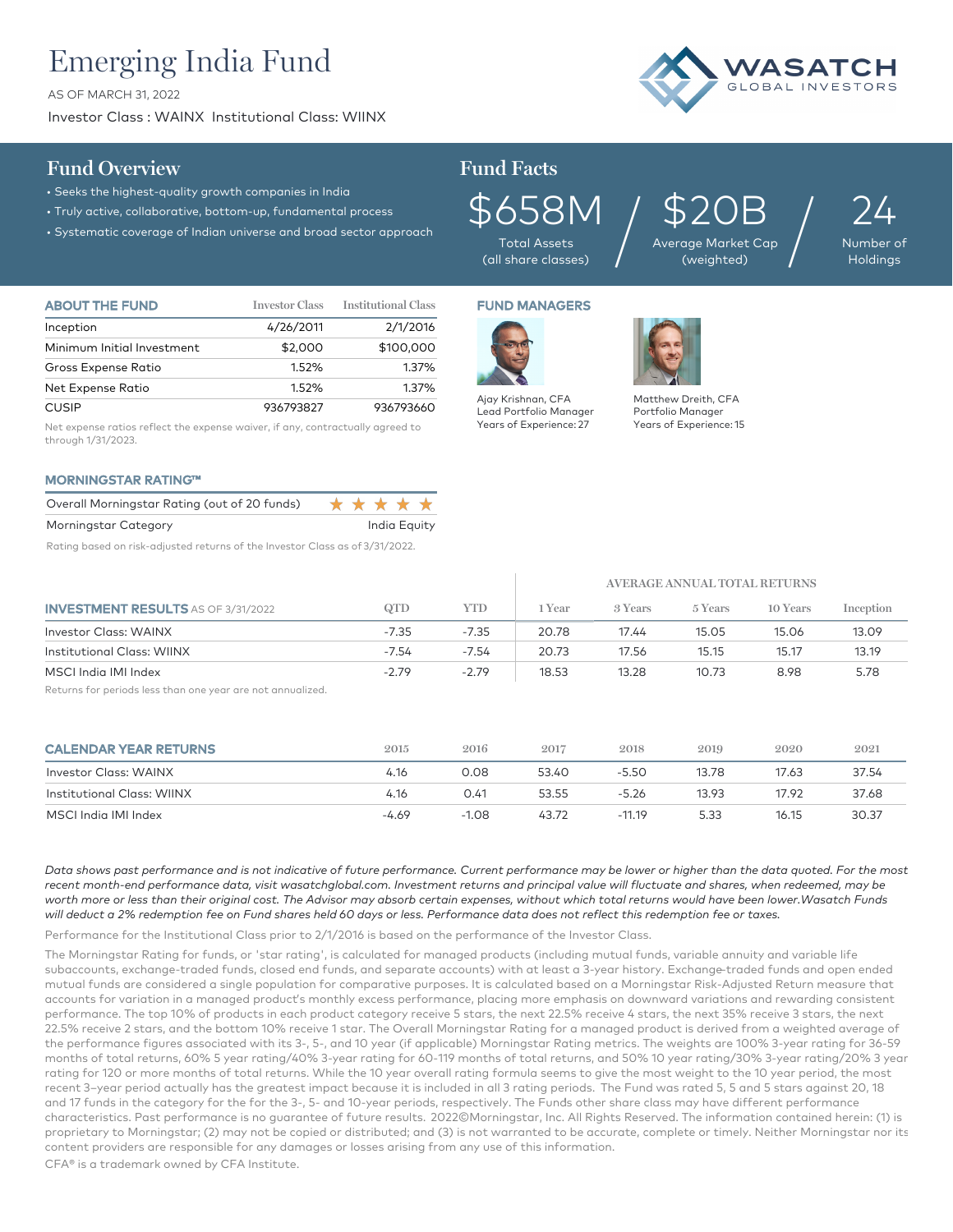# Emerging India Fund

AS OF MARCH 31, 2022

Investor Class : WAINX Institutional Class: WIINX



## **Fund Overview Fund Facts**

- Seeks the highest-quality growth companies in India
- Truly active, collaborative, bottom-up, fundamental process
- Systematic coverage of Indian universe and broad sector approach

 $5658M$ <br>Total Assets<br>(all share classes)

Total Assets

\$20B Average Market Cap  $\log_{\text{Qge Market Cap}} / \log_{\text{(weighted)}}$ 

24 Number of

Holdings

| <b>ABOUT THE FUND</b>      | <b>Investor Class</b> | <b>Institutional Class</b> |
|----------------------------|-----------------------|----------------------------|
| Inception                  | 4/26/2011             | 2/1/2016                   |
| Minimum Initial Investment | \$2,000               | \$100,000                  |
| Gross Expense Ratio        | 1.52%                 | 1.37%                      |
| Net Expense Ratio          | 1.52%                 | 1.37%                      |
| <b>CUSIP</b>               | 936793827             | 936793660                  |

Net expense ratios reflect the expense waiver, if any, contractually agreed to through 1/31/2023.

### MORNINGSTAR RATING™

| Overall Morningstar Rating (out of 20 funds) | ***** |              |  |
|----------------------------------------------|-------|--------------|--|
| Morningstar Category                         |       | India Equity |  |
| ___                                          |       | . <i>.</i>   |  |

Rating based on risk-adjusted returns of the Investor Class as of 3/31/2022.

## FUND MANAGERS



 $\mathbb{L}$ 

Lead Portfolio Manager Years of Experience: 27



Matthew Dreith, CFA Portfolio Manager Years of Experience: 15

|                                           |         |         | AVERAGE ANNUAL TOTAL RETURNS |         |         |          |           |  |
|-------------------------------------------|---------|---------|------------------------------|---------|---------|----------|-----------|--|
| <b>INVESTMENT RESULTS</b> AS OF 3/31/2022 | QTD     | YTD     | 1 Year                       | 3 Years | 5 Years | 10 Years | Inception |  |
| <b>Investor Class: WAINX</b>              | $-7.35$ | $-7.35$ | 20.78                        | 17.44   | 15.05   | 15.06    | 13.09     |  |
| <b>Institutional Class: WIINX</b>         | $-7.54$ | $-7.54$ | 20.73                        | 17.56   | 15.15   | 15.17    | 13.19     |  |
| MSCI India IMI Index                      | $-2.79$ | $-2.79$ | 18.53                        | 13.28   | 10.73   | 8.98     | 5.78      |  |

Returns for periods less than one year are not annualized.

| <b>CALENDAR YEAR RETURNS</b> | 2015  | 2016    | 2017  | 2018     | 2019  | 2020  | 2021  |
|------------------------------|-------|---------|-------|----------|-------|-------|-------|
| Investor Class: WAINX        | 4.16  | 0.08    | 53.40 | $-5.50$  | 13.78 | 17.63 | 37.54 |
| Institutional Class: WIINX   | 4.16  | 0.41    | 53.55 | $-5.26$  | 13.93 | 17.92 | 37.68 |
| MSCI India IMI Index         | -4.69 | $-1.08$ | 43.72 | $-11.19$ | 5.33  | 16.15 | 30.37 |

*Data shows past performance and is not indicative of future performance. Current performance may be lower or higher than the data quoted. For the most*  recent month-end performance data, visit wasatchglobal.com. Investment returns and principal value will fluctuate and shares, when redeemed, may be worth more or less than their original cost. The Advisor may absorb certain expenses, without which total returns would have been lower.Wasatch Funds *will deduct a 2% redemption fee on Fund shares held 60 days or less. Performance data does not reflect this redemption fee or taxes.*

Performance for the Institutional Class prior to 2/1/2016 is based on the performance of the Investor Class.

The Morningstar Rating for funds, or 'star rating', is calculated for managed products (including mutual funds, variable annuity and variable life subaccounts, exchange-traded funds, closed end funds, and separate accounts) with at least a 3-year history. Exchange–traded funds and open ended mutual funds are considered a single population for comparative purposes. It is calculated based on a Morningstar Risk-Adjusted Return measure that accounts for variation in a managed product's monthly excess performance, placing more emphasis on downward variations and rewarding consistent performance. The top 10% of products in each product category receive 5 stars, the next 22.5% receive 4 stars, the next 35% receive 3 stars, the next 22.5% receive 2 stars, and the bottom 10% receive 1 star. The Overall Morningstar Rating for a managed product is derived from a weighted average of the performance figures associated with its 3-, 5-, and 10 year (if applicable) Morningstar Rating metrics. The weights are 100% 3-year rating for 36-59 months of total returns, 60% 5 year rating/40% 3-year rating for 60-119 months of total returns, and 50% 10 year rating/30% 3-year rating/20% 3 year rating for 120 or more months of total returns. While the 10 year overall rating formula seems to give the most weight to the 10 year period, the most recent 3–year period actually has the greatest impact because it is included in all 3 rating periods. The Fund was rated 5, 5 and 5 stars against 20, 18 and 17 funds in the category for the for the 3-, 5- and 10-year periods, respectively. The Funds other share class may have different performance characteristics. Past performance is no guarantee of future results. 2022©Morningstar, Inc. All Rights Reserved. The information contained herein: (1) is proprietary to Morningstar; (2) may not be copied or distributed; and (3) is not warranted to be accurate, complete or timely. Neither Morningstar nor its content providers are responsible for any damages or losses arising from any use of this information.

CFA® is a trademark owned by CFA Institute.